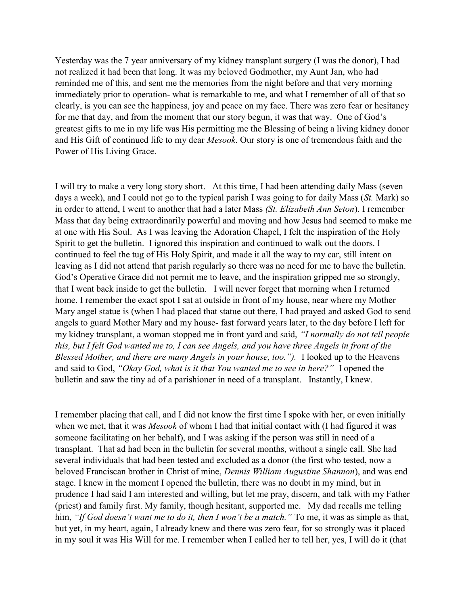Yesterday was the 7 year anniversary of my kidney transplant surgery (I was the donor), I had not realized it had been that long. It was my beloved Godmother, my Aunt Jan, who had reminded me of this, and sent me the memories from the night before and that very morning immediately prior to operation- what is remarkable to me, and what I remember of all of that so clearly, is you can see the happiness, joy and peace on my face. There was zero fear or hesitancy for me that day, and from the moment that our story begun, it was that way. One of God's greatest gifts to me in my life was His permitting me the Blessing of being a living kidney donor and His Gift of continued life to my dear Mesook. Our story is one of tremendous faith and the Power of His Living Grace.

I will try to make a very long story short. At this time, I had been attending daily Mass (seven days a week), and I could not go to the typical parish I was going to for daily Mass (St. Mark) so in order to attend, I went to another that had a later Mass (St. Elizabeth Ann Seton). I remember Mass that day being extraordinarily powerful and moving and how Jesus had seemed to make me at one with His Soul. As I was leaving the Adoration Chapel, I felt the inspiration of the Holy Spirit to get the bulletin. I ignored this inspiration and continued to walk out the doors. I continued to feel the tug of His Holy Spirit, and made it all the way to my car, still intent on leaving as I did not attend that parish regularly so there was no need for me to have the bulletin. God's Operative Grace did not permit me to leave, and the inspiration gripped me so strongly, that I went back inside to get the bulletin. I will never forget that morning when I returned home. I remember the exact spot I sat at outside in front of my house, near where my Mother Mary angel statue is (when I had placed that statue out there, I had prayed and asked God to send angels to guard Mother Mary and my house- fast forward years later, to the day before I left for my kidney transplant, a woman stopped me in front yard and said, "I normally do not tell people this, but I felt God wanted me to, I can see Angels, and you have three Angels in front of the Blessed Mother, and there are many Angels in your house, too."). I looked up to the Heavens and said to God, "Okay God, what is it that You wanted me to see in here?" I opened the bulletin and saw the tiny ad of a parishioner in need of a transplant. Instantly, I knew.

I remember placing that call, and I did not know the first time I spoke with her, or even initially when we met, that it was *Mesook* of whom I had that initial contact with (I had figured it was someone facilitating on her behalf), and I was asking if the person was still in need of a transplant. That ad had been in the bulletin for several months, without a single call. She had several individuals that had been tested and excluded as a donor (the first who tested, now a beloved Franciscan brother in Christ of mine, Dennis William Augustine Shannon), and was end stage. I knew in the moment I opened the bulletin, there was no doubt in my mind, but in prudence I had said I am interested and willing, but let me pray, discern, and talk with my Father (priest) and family first. My family, though hesitant, supported me. My dad recalls me telling him, "If God doesn't want me to do it, then I won't be a match." To me, it was as simple as that, but yet, in my heart, again, I already knew and there was zero fear, for so strongly was it placed in my soul it was His Will for me. I remember when I called her to tell her, yes, I will do it (that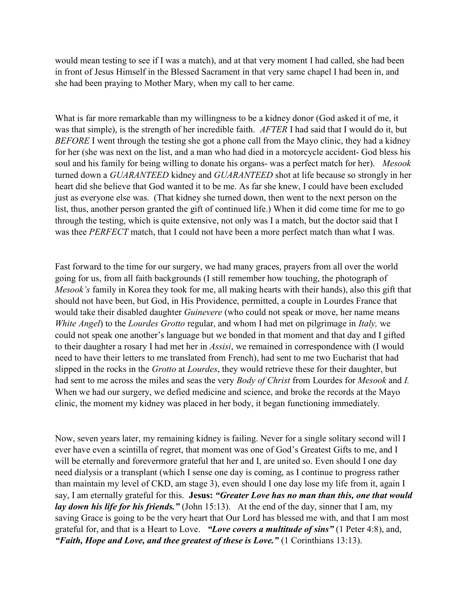would mean testing to see if I was a match), and at that very moment I had called, she had been in front of Jesus Himself in the Blessed Sacrament in that very same chapel I had been in, and she had been praying to Mother Mary, when my call to her came.

What is far more remarkable than my willingness to be a kidney donor (God asked it of me, it was that simple), is the strength of her incredible faith. AFTER I had said that I would do it, but BEFORE I went through the testing she got a phone call from the Mayo clinic, they had a kidney for her (she was next on the list, and a man who had died in a motorcycle accident- God bless his soul and his family for being willing to donate his organs- was a perfect match for her). Mesook turned down a GUARANTEED kidney and GUARANTEED shot at life because so strongly in her heart did she believe that God wanted it to be me. As far she knew, I could have been excluded just as everyone else was. (That kidney she turned down, then went to the next person on the list, thus, another person granted the gift of continued life.) When it did come time for me to go through the testing, which is quite extensive, not only was I a match, but the doctor said that I was thee PERFECT match, that I could not have been a more perfect match than what I was.

Fast forward to the time for our surgery, we had many graces, prayers from all over the world going for us, from all faith backgrounds (I still remember how touching, the photograph of Mesook's family in Korea they took for me, all making hearts with their hands), also this gift that should not have been, but God, in His Providence, permitted, a couple in Lourdes France that would take their disabled daughter *Guinevere* (who could not speak or move, her name means White Angel) to the Lourdes Grotto regular, and whom I had met on pilgrimage in Italy, we could not speak one another's language but we bonded in that moment and that day and I gifted to their daughter a rosary I had met her in Assisi, we remained in correspondence with (I would need to have their letters to me translated from French), had sent to me two Eucharist that had slipped in the rocks in the Grotto at Lourdes, they would retrieve these for their daughter, but had sent to me across the miles and seas the very *Body of Christ* from Lourdes for *Mesook* and *I*. When we had our surgery, we defied medicine and science, and broke the records at the Mayo clinic, the moment my kidney was placed in her body, it began functioning immediately.

Now, seven years later, my remaining kidney is failing. Never for a single solitary second will I ever have even a scintilla of regret, that moment was one of God's Greatest Gifts to me, and I will be eternally and forevermore grateful that her and I, are united so. Even should I one day need dialysis or a transplant (which I sense one day is coming, as I continue to progress rather than maintain my level of CKD, am stage 3), even should I one day lose my life from it, again I say, I am eternally grateful for this. Jesus: "Greater Love has no man than this, one that would *lay down his life for his friends.*" (John 15:13). At the end of the day, sinner that I am, my saving Grace is going to be the very heart that Our Lord has blessed me with, and that I am most grateful for, and that is a Heart to Love. "Love covers a multitude of sins" (1 Peter 4:8), and, "Faith, Hope and Love, and thee greatest of these is Love."  $(1 \text{ Corinthians } 13:13)$ .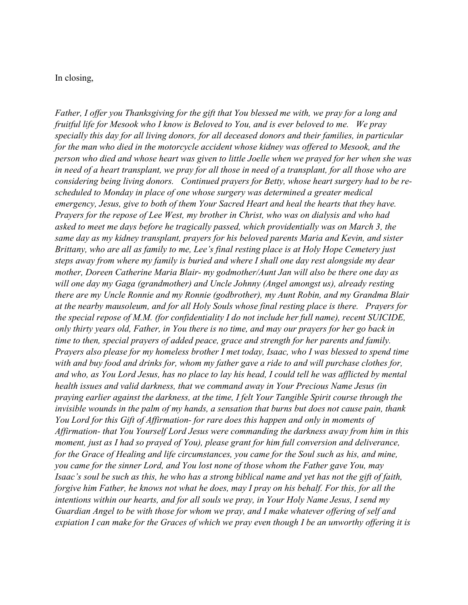## In closing,

Father, I offer you Thanksgiving for the gift that You blessed me with, we pray for a long and fruitful life for Mesook who I know is Beloved to You, and is ever beloved to me. We pray specially this day for all living donors, for all deceased donors and their families, in particular for the man who died in the motorcycle accident whose kidney was offered to Mesook, and the person who died and whose heart was given to little Joelle when we prayed for her when she was in need of a heart transplant, we pray for all those in need of a transplant, for all those who are considering being living donors. Continued prayers for Betty, whose heart surgery had to be rescheduled to Monday in place of one whose surgery was determined a greater medical emergency, Jesus, give to both of them Your Sacred Heart and heal the hearts that they have. Prayers for the repose of Lee West, my brother in Christ, who was on dialysis and who had asked to meet me days before he tragically passed, which providentially was on March 3, the same day as my kidney transplant, prayers for his beloved parents Maria and Kevin, and sister Brittany, who are all as family to me, Lee's final resting place is at Holy Hope Cemetery just steps away from where my family is buried and where I shall one day rest alongside my dear mother, Doreen Catherine Maria Blair- my godmother/Aunt Jan will also be there one day as will one day my Gaga (grandmother) and Uncle Johnny (Angel amongst us), already resting there are my Uncle Ronnie and my Ronnie (godbrother), my Aunt Robin, and my Grandma Blair at the nearby mausoleum, and for all Holy Souls whose final resting place is there. Prayers for the special repose of M.M. (for confidentiality I do not include her full name), recent SUICIDE, only thirty years old, Father, in You there is no time, and may our prayers for her go back in time to then, special prayers of added peace, grace and strength for her parents and family. Prayers also please for my homeless brother I met today, Isaac, who I was blessed to spend time with and buy food and drinks for, whom my father gave a ride to and will purchase clothes for, and who, as You Lord Jesus, has no place to lay his head, I could tell he was afflicted by mental health issues and valid darkness, that we command away in Your Precious Name Jesus (in praying earlier against the darkness, at the time, I felt Your Tangible Spirit course through the invisible wounds in the palm of my hands, a sensation that burns but does not cause pain, thank You Lord for this Gift of Affirmation- for rare does this happen and only in moments of Affirmation- that You Yourself Lord Jesus were commanding the darkness away from him in this moment, just as I had so prayed of You), please grant for him full conversion and deliverance, for the Grace of Healing and life circumstances, you came for the Soul such as his, and mine, you came for the sinner Lord, and You lost none of those whom the Father gave You, may Isaac's soul be such as this, he who has a strong biblical name and yet has not the gift of faith, forgive him Father, he knows not what he does, may I pray on his behalf. For this, for all the intentions within our hearts, and for all souls we pray, in Your Holy Name Jesus, I send my Guardian Angel to be with those for whom we pray, and I make whatever offering of self and expiation I can make for the Graces of which we pray even though I be an unworthy offering it is